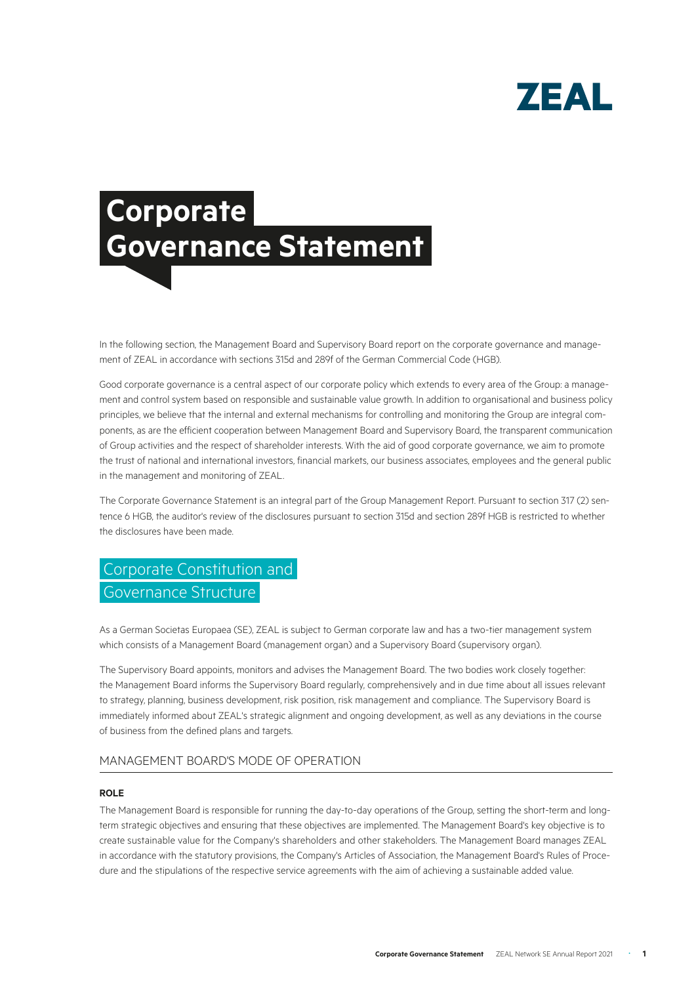

# **Corporate Governance Statement**

In the following section, the Management Board and Supervisory Board report on the corporate governance and management of ZEAL in accordance with sections 315d and 289f of the German Commercial Code (HGB).

Good corporate governance is a central aspect of our corporate policy which extends to every area of the Group: a management and control system based on responsible and sustainable value growth. In addition to organisational and business policy principles, we believe that the internal and external mechanisms for controlling and monitoring the Group are integral components, as are the efficient cooperation between Management Board and Supervisory Board, the transparent communication of Group activities and the respect of shareholder interests. With the aid of good corporate governance, we aim to promote the trust of national and international investors, financial markets, our business associates, employees and the general public in the management and monitoring of ZEAL.

The Corporate Governance Statement is an integral part of the Group Management Report. Pursuant to section 317 (2) sentence 6 HGB, the auditor's review of the disclosures pursuant to section 315d and section 289f HGB is restricted to whether the disclosures have been made.

# Corporate Constitution and Governance Structure

As a German Societas Europaea (SE), ZEAL is subject to German corporate law and has a two-tier management system which consists of a Management Board (management organ) and a Supervisory Board (supervisory organ).

The Supervisory Board appoints, monitors and advises the Management Board. The two bodies work closely together: the Management Board informs the Supervisory Board regularly, comprehensively and in due time about all issues relevant to strategy, planning, business development, risk position, risk management and compliance. The Supervisory Board is immediately informed about ZEAL's strategic alignment and ongoing development, as well as any deviations in the course of business from the defined plans and targets.

#### MANAGEMENT BOARD'S MODE OF OPERATION

#### **ROLE**

The Management Board is responsible for running the day-to-day operations of the Group, setting the short-term and longterm strategic objectives and ensuring that these objectives are implemented. The Management Board's key objective is to create sustainable value for the Company's shareholders and other stakeholders. The Management Board manages ZEAL in accordance with the statutory provisions, the Company's Articles of Association, the Management Board's Rules of Procedure and the stipulations of the respective service agreements with the aim of achieving a sustainable added value.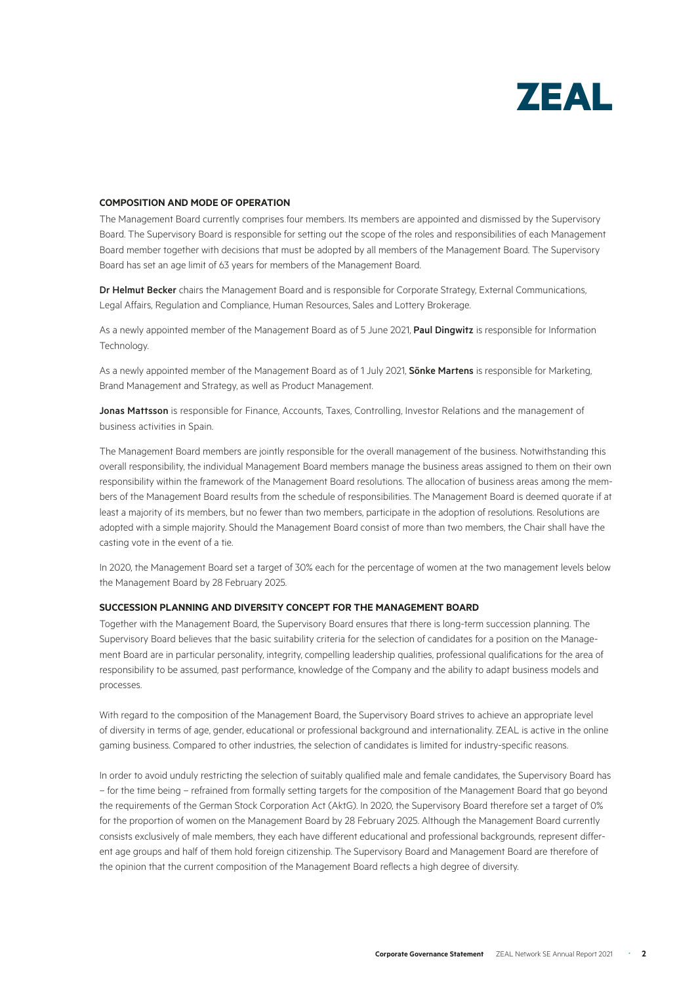

#### **COMPOSITION AND MODE OF OPERATION**

The Management Board currently comprises four members. Its members are appointed and dismissed by the Supervisory Board. The Supervisory Board is responsible for setting out the scope of the roles and responsibilities of each Management Board member together with decisions that must be adopted by all members of the Management Board. The Supervisory Board has set an age limit of 63 years for members of the Management Board.

Dr Helmut Becker chairs the Management Board and is responsible for Corporate Strategy, External Communications, Legal Affairs, Regulation and Compliance, Human Resources, Sales and Lottery Brokerage.

As a newly appointed member of the Management Board as of 5 June 2021, Paul Dingwitz is responsible for Information **Technology** 

As a newly appointed member of the Management Board as of 1 July 2021, Sönke Martens is responsible for Marketing, Brand Management and Strategy, as well as Product Management.

Jonas Mattsson is responsible for Finance, Accounts, Taxes, Controlling, Investor Relations and the management of business activities in Spain.

The Management Board members are jointly responsible for the overall management of the business. Notwithstanding this overall responsibility, the individual Management Board members manage the business areas assigned to them on their own responsibility within the framework of the Management Board resolutions. The allocation of business areas among the members of the Management Board results from the schedule of responsibilities. The Management Board is deemed quorate if at least a majority of its members, but no fewer than two members, participate in the adoption of resolutions. Resolutions are adopted with a simple majority. Should the Management Board consist of more than two members, the Chair shall have the casting vote in the event of a tie.

In 2020, the Management Board set a target of 30% each for the percentage of women at the two management levels below the Management Board by 28 February 2025.

#### **SUCCESSION PLANNING AND DIVERSITY CONCEPT FOR THE MANAGEMENT BOARD**

Together with the Management Board, the Supervisory Board ensures that there is long-term succession planning. The Supervisory Board believes that the basic suitability criteria for the selection of candidates for a position on the Management Board are in particular personality, integrity, compelling leadership qualities, professional qualifications for the area of responsibility to be assumed, past performance, knowledge of the Company and the ability to adapt business models and processes.

With regard to the composition of the Management Board, the Supervisory Board strives to achieve an appropriate level of diversity in terms of age, gender, educational or professional background and internationality. ZEAL is active in the online gaming business. Compared to other industries, the selection of candidates is limited for industry-specific reasons.

In order to avoid unduly restricting the selection of suitably qualified male and female candidates, the Supervisory Board has – for the time being – refrained from formally setting targets for the composition of the Management Board that go beyond the requirements of the German Stock Corporation Act (AktG). In 2020, the Supervisory Board therefore set a target of 0% for the proportion of women on the Management Board by 28 February 2025. Although the Management Board currently consists exclusively of male members, they each have different educational and professional backgrounds, represent different age groups and half of them hold foreign citizenship. The Supervisory Board and Management Board are therefore of the opinion that the current composition of the Management Board reflects a high degree of diversity.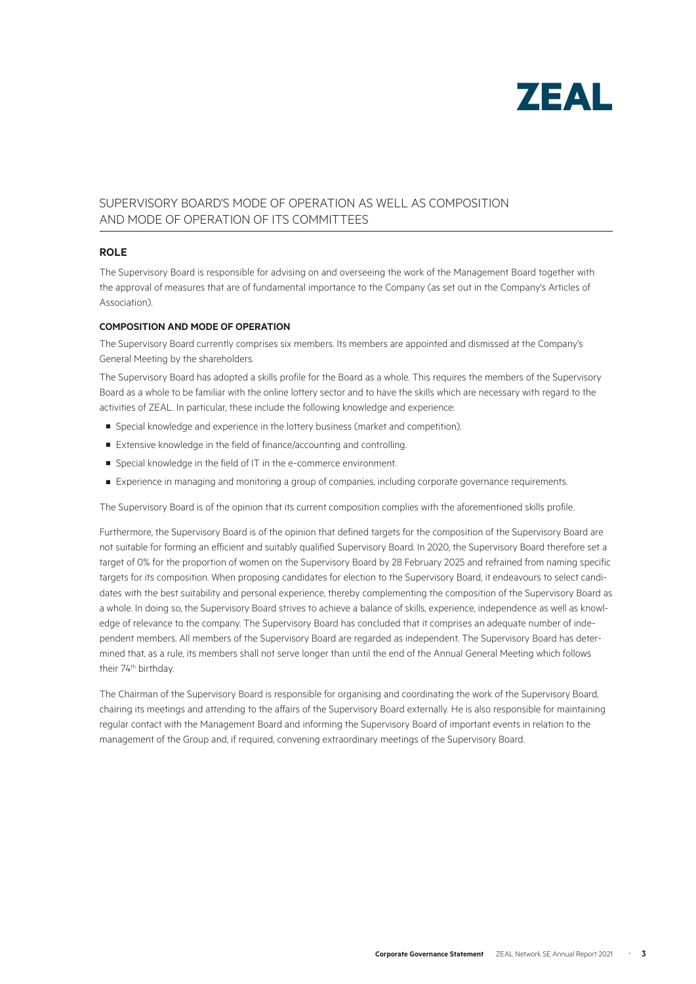

### SUPERVISORY BOARD'S MODE OF OPERATION AS WELL AS COMPOSITION AND MODE OF OPERATION OF ITS COMMITTEES

#### **ROLE**

The Supervisory Board is responsible for advising on and overseeing the work of the Management Board together with the approval of measures that are of fundamental importance to the Company (as set out in the Company's Articles of Association).

#### **COMPOSITION AND MODE OF OPERATION**

The Supervisory Board currently comprises six members. Its members are appointed and dismissed at the Company's General Meeting by the shareholders.

The Supervisory Board has adopted a skills profile for the Board as a whole. This requires the members of the Supervisory Board as a whole to be familiar with the online lottery sector and to have the skills which are necessary with regard to the activities of ZEAL. In particular, these include the following knowledge and experience:

- Special knowledge and experience in the lottery business (market and competition).
- Extensive knowledge in the field of finance/accounting and controlling.
- Special knowledge in the field of IT in the e-commerce environment.
- Experience in managing and monitoring a group of companies, including corporate governance requirements.

The Supervisory Board is of the opinion that its current composition complies with the aforementioned skills profile.

Furthermore, the Supervisory Board is of the opinion that defined targets for the composition of the Supervisory Board are not suitable for forming an efficient and suitably qualified Supervisory Board. In 2020, the Supervisory Board therefore set a target of 0% for the proportion of women on the Supervisory Board by 28 February 2025 and refrained from naming specific targets for its composition. When proposing candidates for election to the Supervisory Board, it endeavours to select candidates with the best suitability and personal experience, thereby complementing the composition of the Supervisory Board as a whole. In doing so, the Supervisory Board strives to achieve a balance of skills, experience, independence as well as knowledge of relevance to the company. The Supervisory Board has concluded that it comprises an adequate number of independent members. All members of the Supervisory Board are regarded as independent. The Supervisory Board has determined that, as a rule, its members shall not serve longer than until the end of the Annual General Meeting which follows their 74<sup>th</sup> birthday.

The Chairman of the Supervisory Board is responsible for organising and coordinating the work of the Supervisory Board, chairing its meetings and attending to the affairs of the Supervisory Board externally. He is also responsible for maintaining regular contact with the Management Board and informing the Supervisory Board of important events in relation to the management of the Group and, if required, convening extraordinary meetings of the Supervisory Board.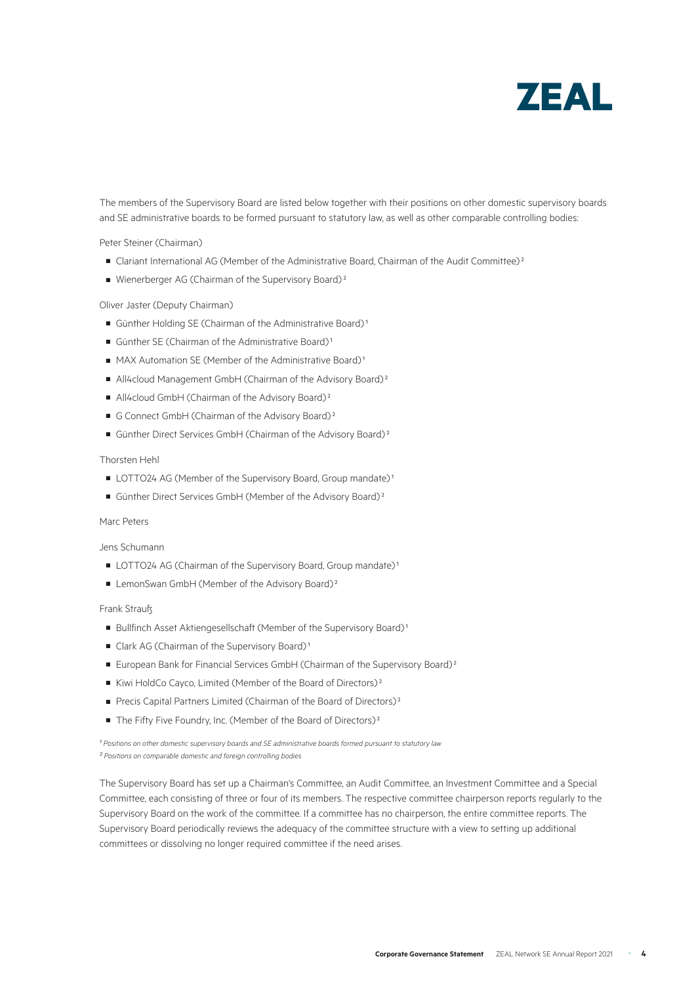

The members of the Supervisory Board are listed below together with their positions on other domestic supervisory boards and SE administrative boards to be formed pursuant to statutory law, as well as other comparable controlling bodies:

Peter Steiner (Chairman)

- Clariant International AG (Member of the Administrative Board, Chairman of the Audit Committee)<sup>2</sup>
- Wienerberger AG (Chairman of the Supervisory Board)<sup>2</sup>

Oliver Jaster (Deputy Chairman)

- Günther Holding SE (Chairman of the Administrative Board)<sup>1</sup>
- **■** Günther SE (Chairman of the Administrative Board)<sup>1</sup>
- MAX Automation SE (Member of the Administrative Board)<sup>1</sup>
- All4cloud Management GmbH (Chairman of the Advisory Board)<sup>2</sup>
- All4cloud GmbH (Chairman of the Advisory Board)<sup>2</sup>
- G Connect GmbH (Chairman of the Advisory Board)<sup>2</sup>
- Günther Direct Services GmbH (Chairman of the Advisory Board)<sup>2</sup>

#### Thorsten Hehl

- LOTTO24 AG (Member of the Supervisory Board, Group mandate)<sup>1</sup>
- Günther Direct Services GmbH (Member of the Advisory Board)<sup>2</sup>

#### Marc Peters

Jens Schumann

- LOTTO24 AG (Chairman of the Supervisory Board, Group mandate)<sup>1</sup>
- LemonSwan GmbH (Member of the Advisory Board)<sup>2</sup>

#### Frank Strauß

- Bullfinch Asset Aktiengesellschaft (Member of the Supervisory Board)<sup>1</sup>
- Clark AG (Chairman of the Supervisory Board)<sup>1</sup>
- European Bank for Financial Services GmbH (Chairman of the Supervisory Board)<sup>2</sup>
- Kiwi HoldCo Cayco, Limited (Member of the Board of Directors)<sup>2</sup>
- Precis Capital Partners Limited (Chairman of the Board of Directors)<sup>2</sup>
- The Fifty Five Foundry, Inc. (Member of the Board of Directors)<sup>2</sup>

<sup>1</sup> Positions on other domestic supervisory boards and SE administrative boards formed pursuant to statutory law *² Positions on comparable domestic and foreign controlling bodies* 

The Supervisory Board has set up a Chairman's Committee, an Audit Committee, an Investment Committee and a Special Committee, each consisting of three or four of its members. The respective committee chairperson reports regularly to the Supervisory Board on the work of the committee. If a committee has no chairperson, the entire committee reports. The Supervisory Board periodically reviews the adequacy of the committee structure with a view to setting up additional committees or dissolving no longer required committee if the need arises.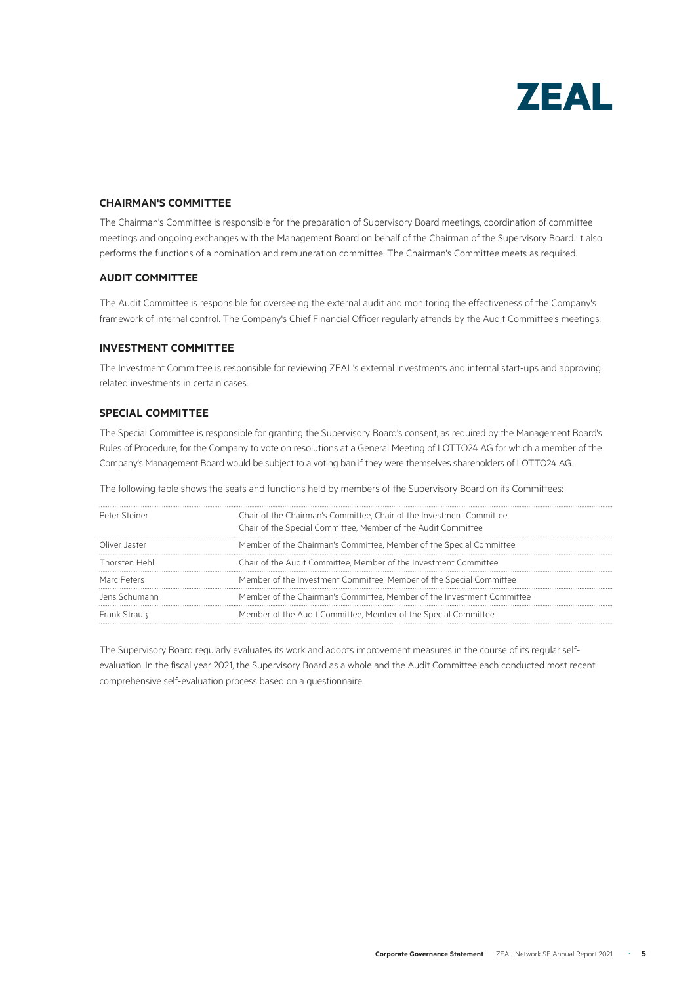

#### **CHAIRMAN'S COMMITTEE**

The Chairman's Committee is responsible for the preparation of Supervisory Board meetings, coordination of committee meetings and ongoing exchanges with the Management Board on behalf of the Chairman of the Supervisory Board. It also performs the functions of a nomination and remuneration committee. The Chairman's Committee meets as required.

#### **AUDIT COMMITTEE**

The Audit Committee is responsible for overseeing the external audit and monitoring the effectiveness of the Company's framework of internal control. The Company's Chief Financial Officer regularly attends by the Audit Committee's meetings.

#### **INVESTMENT COMMITTEE**

The Investment Committee is responsible for reviewing ZEAL's external investments and internal start-ups and approving related investments in certain cases.

#### **SPECIAL COMMITTEE**

The Special Committee is responsible for granting the Supervisory Board's consent, as required by the Management Board's Rules of Procedure, for the Company to vote on resolutions at a General Meeting of LOTTO24 AG for which a member of the Company's Management Board would be subject to a voting ban if they were themselves shareholders of LOTTO24 AG.

The following table shows the seats and functions held by members of the Supervisory Board on its Committees:

| Peter Steiner | Chair of the Chairman's Committee, Chair of the Investment Committee,<br>Chair of the Special Committee, Member of the Audit Committee |
|---------------|----------------------------------------------------------------------------------------------------------------------------------------|
| Oliver Jaster | Member of the Chairman's Committee, Member of the Special Committee                                                                    |
| Thorsten Hehl | Chair of the Audit Committee, Member of the Investment Committee                                                                       |
| Marc Peters   | Member of the Investment Committee, Member of the Special Committee                                                                    |
| Jens Schumann | Member of the Chairman's Committee, Member of the Investment Committee                                                                 |
| Frank Strauß  | Member of the Audit Committee, Member of the Special Committee                                                                         |

The Supervisory Board regularly evaluates its work and adopts improvement measures in the course of its regular selfevaluation. In the fiscal year 2021, the Supervisory Board as a whole and the Audit Committee each conducted most recent comprehensive self-evaluation process based on a questionnaire.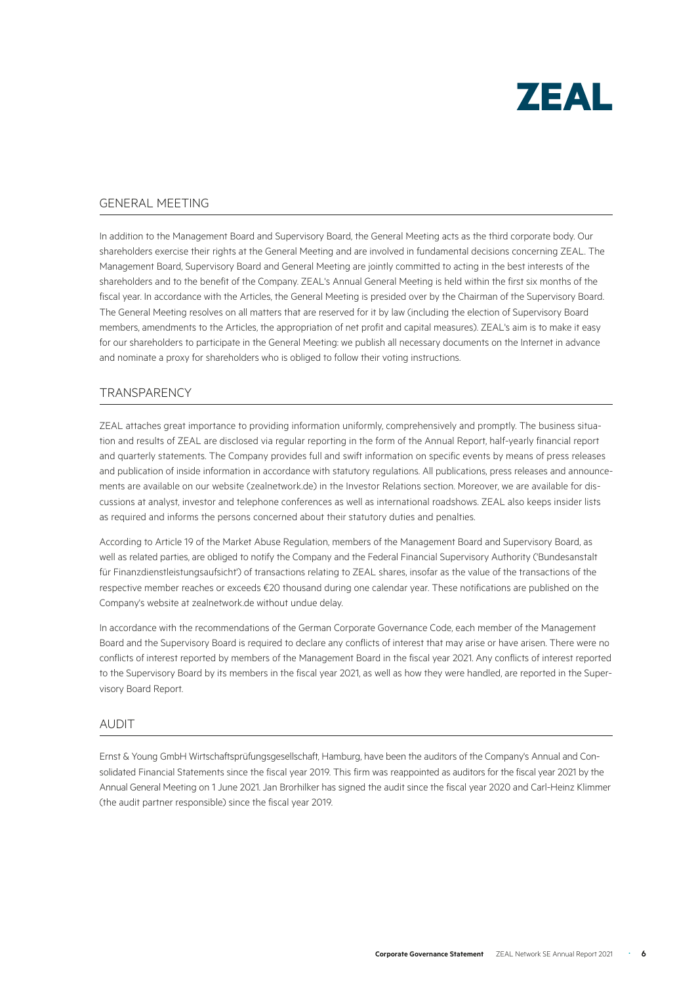

#### GENERAL MEETING

In addition to the Management Board and Supervisory Board, the General Meeting acts as the third corporate body. Our shareholders exercise their rights at the General Meeting and are involved in fundamental decisions concerning ZEAL. The Management Board, Supervisory Board and General Meeting are jointly committed to acting in the best interests of the shareholders and to the benefit of the Company. ZEAL's Annual General Meeting is held within the first six months of the fiscal year. In accordance with the Articles, the General Meeting is presided over by the Chairman of the Supervisory Board. The General Meeting resolves on all matters that are reserved for it by law (including the election of Supervisory Board members, amendments to the Articles, the appropriation of net profit and capital measures). ZEAL's aim is to make it easy for our shareholders to participate in the General Meeting: we publish all necessary documents on the Internet in advance and nominate a proxy for shareholders who is obliged to follow their voting instructions.

#### **TRANSPARENCY**

ZEAL attaches great importance to providing information uniformly, comprehensively and promptly. The business situation and results of ZEAL are disclosed via regular reporting in the form of the Annual Report, half-yearly financial report and quarterly statements. The Company provides full and swift information on specific events by means of press releases and publication of inside information in accordance with statutory regulations. All publications, press releases and announcements are available on our website (zealnetwork.de) in the Investor Relations section. Moreover, we are available for discussions at analyst, investor and telephone conferences as well as international roadshows. ZEAL also keeps insider lists as required and informs the persons concerned about their statutory duties and penalties.

According to Article 19 of the Market Abuse Regulation, members of the Management Board and Supervisory Board, as well as related parties, are obliged to notify the Company and the Federal Financial Supervisory Authority ('Bundesanstalt für Finanzdienstleistungsaufsicht') of transactions relating to ZEAL shares, insofar as the value of the transactions of the respective member reaches or exceeds €20 thousand during one calendar year. These notifications are published on the Company's website at zealnetwork.de without undue delay.

In accordance with the recommendations of the German Corporate Governance Code, each member of the Management Board and the Supervisory Board is required to declare any conflicts of interest that may arise or have arisen. There were no conflicts of interest reported by members of the Management Board in the fiscal year 2021. Any conflicts of interest reported to the Supervisory Board by its members in the fiscal year 2021, as well as how they were handled, are reported in the Supervisory Board Report.

#### AUDIT

Ernst & Young GmbH Wirtschaftsprüfungsgesellschaft, Hamburg, have been the auditors of the Company's Annual and Consolidated Financial Statements since the fiscal year 2019. This firm was reappointed as auditors for the fiscal year 2021 by the Annual General Meeting on 1 June 2021. Jan Brorhilker has signed the audit since the fiscal year 2020 and Carl-Heinz Klimmer (the audit partner responsible) since the fiscal year 2019.